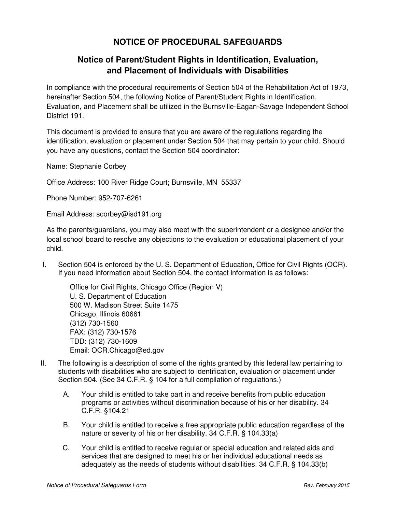## **NOTICE OF PROCEDURAL SAFEGUARDS**

## **Notice of Parent/Student Rights in Identification, Evaluation, and Placement of Individuals with Disabilities**

In compliance with the procedural requirements of Section 504 of the Rehabilitation Act of 1973, hereinafter Section 504, the following Notice of Parent/Student Rights in Identification, Evaluation, and Placement shall be utilized in the Burnsville-Eagan-Savage Independent School District 191.

This document is provided to ensure that you are aware of the regulations regarding the identification, evaluation or placement under Section 504 that may pertain to your child. Should you have any questions, contact the Section 504 coordinator:

Name: Stephanie Corbey

Office Address: 100 River Ridge Court; Burnsville, MN 55337

Phone Number: 952-707-6261

Email Address: scorbey@isd191.org

As the parents/guardians, you may also meet with the superintendent or a designee and/or the local school board to resolve any objections to the evaluation or educational placement of your child.

I. Section 504 is enforced by the U. S. Department of Education, Office for Civil Rights (OCR). If you need information about Section 504, the contact information is as follows:

Office for Civil Rights, Chicago Office (Region V) U. S. Department of Education 500 W. Madison Street Suite 1475 Chicago, Illinois 60661 (312) 730-1560 FAX: (312) 730-1576 TDD: (312) 730-1609 Email: OCR.Chicago@ed.gov

- II. The following is a description of some of the rights granted by this federal law pertaining to students with disabilities who are subject to identification, evaluation or placement under Section 504. (See 34 C.F.R. § 104 for a full compilation of regulations.)
	- A. Your child is entitled to take part in and receive benefits from public education programs or activities without discrimination because of his or her disability. 34 C.F.R. §104.21
	- B. Your child is entitled to receive a free appropriate public education regardless of the nature or severity of his or her disability. 34 C.F.R. § 104.33(a)
	- C. Your child is entitled to receive regular or special education and related aids and services that are designed to meet his or her individual educational needs as adequately as the needs of students without disabilities. 34 C.F.R. § 104.33(b)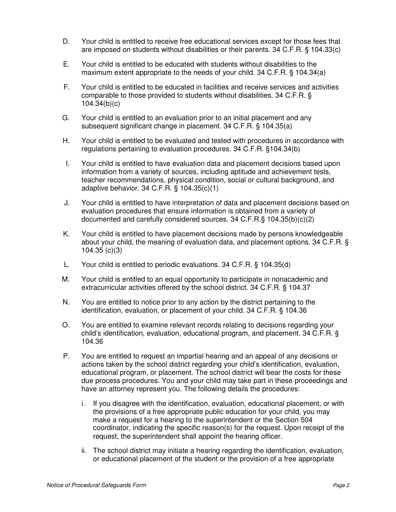- D. Your child is entitled to receive free educational services except for those fees that are imposed on students without disabilities or their parents. 34 C.F.R. § 104.33(c)
- E. Your child is entitled to be educated with students without disabilities to the maximum extent appropriate to the needs of your child. 34 C.F.R. § 104.34(a)
- F. Your child is entitled to be educated in facilities and receive services and activities comparable to those provided to students without disabilities. 34 C.F.R. § 104.34(b)(c)
- G. Your child is entitled to an evaluation prior to an initial placement and any subsequent significant change in placement. 34 C.F.R. § 104.35(a)
- H. Your child is entitled to be evaluated and tested with procedures in accordance with regulations pertaining to evaluation procedures. 34 C.F.R. §104.34(b)
- I. Your child is entitled to have evaluation data and placement decisions based upon information from a variety of sources, including aptitude and achievement tests, teacher recommendations, physical condition, social or cultural background, and adaptive behavior. 34 C.F.R. § 104.35(c)(1)
- J. Your child is entitled to have interpretation of data and placement decisions based on evaluation procedures that ensure information is obtained from a variety of documented and carefully considered sources. 34 C.F.R.§ 104.35(b)(c)(2)
- K. Your child is entitled to have placement decisions made by persons knowledgeable about your child, the meaning of evaluation data, and placement options. 34 C.F.R. § 104.35 (c)(3)
- L. Your child is entitled to periodic evaluations. 34 C.F.R. § 104.35(d)
- M. Your child is entitled to an equal opportunity to participate in nonacademic and extracurricular activities offered by the school district. 34 C.F.R. § 104.37
- N. You are entitled to notice prior to any action by the district pertaining to the identification, evaluation, or placement of your child. 34 C.F.R. § 104.36
- O. You are entitled to examine relevant records relating to decisions regarding your child's identification, evaluation, educational program, and placement. 34 C.F.R. § 104.36
- P. You are entitled to request an impartial hearing and an appeal of any decisions or actions taken by the school district regarding your child's identification, evaluation, educational program, or placement. The school district will bear the costs for these due process procedures. You and your child may take part in these proceedings and have an attorney represent you. The following details the procedures:
	- i. If you disagree with the identification, evaluation, educational placement, or with the provisions of a free appropriate public education for your child, you may make a request for a hearing to the superintendent or the Section 504 coordinator, indicating the specific reason(s) for the request. Upon receipt of the request, the superintendent shall appoint the hearing officer.
	- ii. The school district may initiate a hearing regarding the identification, evaluation, or educational placement of the student or the provision of a free appropriate